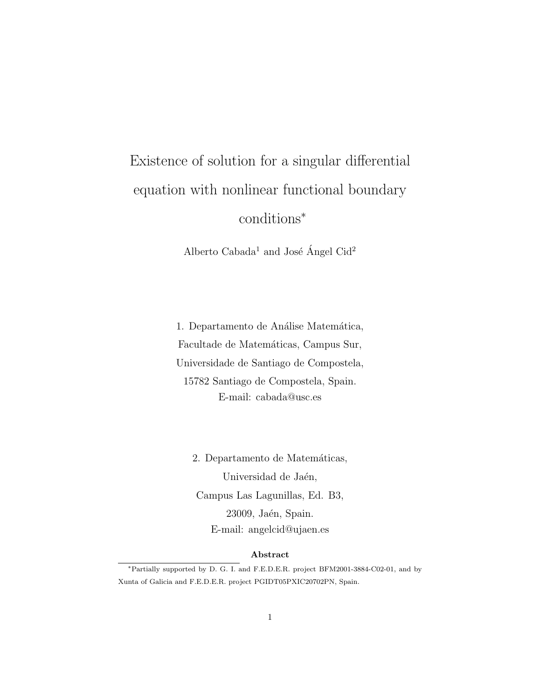# Existence of solution for a singular differential equation with nonlinear functional boundary conditions<sup>∗</sup>

Alberto Cabada<sup>1</sup> and José Ángel Cid<sup>2</sup>

1. Departamento de Análise Matemática, Facultade de Matemáticas, Campus Sur, Universidade de Santiago de Compostela, 15782 Santiago de Compostela, Spain. E-mail: cabada@usc.es

2. Departamento de Matemáticas, Universidad de Jaén, Campus Las Lagunillas, Ed. B3, 23009, Jaén, Spain. E-mail: angelcid@ujaen.es

#### Abstract

<sup>∗</sup>Partially supported by D. G. I. and F.E.D.E.R. project BFM2001-3884-C02-01, and by Xunta of Galicia and F.E.D.E.R. project PGIDT05PXIC20702PN, Spain.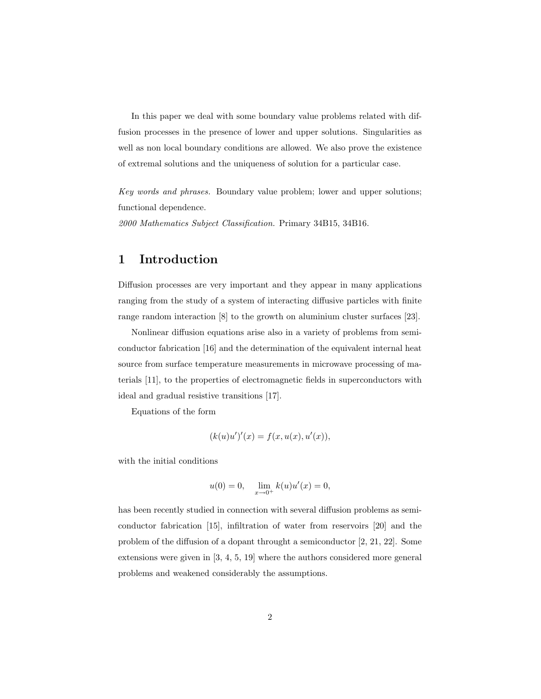In this paper we deal with some boundary value problems related with diffusion processes in the presence of lower and upper solutions. Singularities as well as non local boundary conditions are allowed. We also prove the existence of extremal solutions and the uniqueness of solution for a particular case.

Key words and phrases. Boundary value problem; lower and upper solutions; functional dependence.

2000 Mathematics Subject Classification. Primary 34B15, 34B16.

## 1 Introduction

Diffusion processes are very important and they appear in many applications ranging from the study of a system of interacting diffusive particles with finite range random interaction [8] to the growth on aluminium cluster surfaces [23].

Nonlinear diffusion equations arise also in a variety of problems from semiconductor fabrication [16] and the determination of the equivalent internal heat source from surface temperature measurements in microwave processing of materials [11], to the properties of electromagnetic fields in superconductors with ideal and gradual resistive transitions [17].

Equations of the form

$$
(k(u)u')'(x) = f(x, u(x), u'(x)),
$$

with the initial conditions

$$
u(0) = 0, \quad \lim_{x \to 0^+} k(u)u'(x) = 0,
$$

has been recently studied in connection with several diffusion problems as semiconductor fabrication [15], infiltration of water from reservoirs [20] and the problem of the diffusion of a dopant throught a semiconductor [2, 21, 22]. Some extensions were given in [3, 4, 5, 19] where the authors considered more general problems and weakened considerably the assumptions.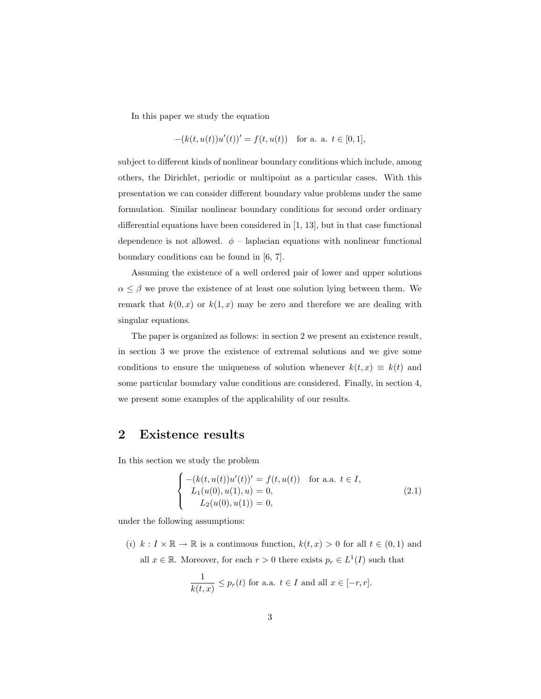In this paper we study the equation

$$
-(k(t, u(t))u'(t))' = f(t, u(t)) \text{ for a. a. } t \in [0, 1],
$$

subject to different kinds of nonlinear boundary conditions which include, among others, the Dirichlet, periodic or multipoint as a particular cases. With this presentation we can consider different boundary value problems under the same formulation. Similar nonlinear boundary conditions for second order ordinary differential equations have been considered in [1, 13], but in that case functional dependence is not allowed.  $\phi$  – laplacian equations with nonlinear functional boundary conditions can be found in [6, 7].

Assuming the existence of a well ordered pair of lower and upper solutions  $\alpha \leq \beta$  we prove the existence of at least one solution lying between them. We remark that  $k(0, x)$  or  $k(1, x)$  may be zero and therefore we are dealing with singular equations.

The paper is organized as follows: in section 2 we present an existence result, in section 3 we prove the existence of extremal solutions and we give some conditions to ensure the uniqueness of solution whenever  $k(t, x) \equiv k(t)$  and some particular boundary value conditions are considered. Finally, in section 4, we present some examples of the applicability of our results.

#### 2 Existence results

In this section we study the problem

$$
\begin{cases}\n-(k(t, u(t))u'(t))' = f(t, u(t)) & \text{for a.a. } t \in I, \\
L_1(u(0), u(1), u) = 0, \\
L_2(u(0), u(1)) = 0,\n\end{cases}
$$
\n(2.1)

under the following assumptions:

(i)  $k: I \times \mathbb{R} \to \mathbb{R}$  is a continuous function,  $k(t, x) > 0$  for all  $t \in (0, 1)$  and all  $x \in \mathbb{R}$ . Moreover, for each  $r > 0$  there exists  $p_r \in L^1(I)$  such that

$$
\frac{1}{k(t,x)} \le p_r(t) \text{ for a.a. } t \in I \text{ and all } x \in [-r,r].
$$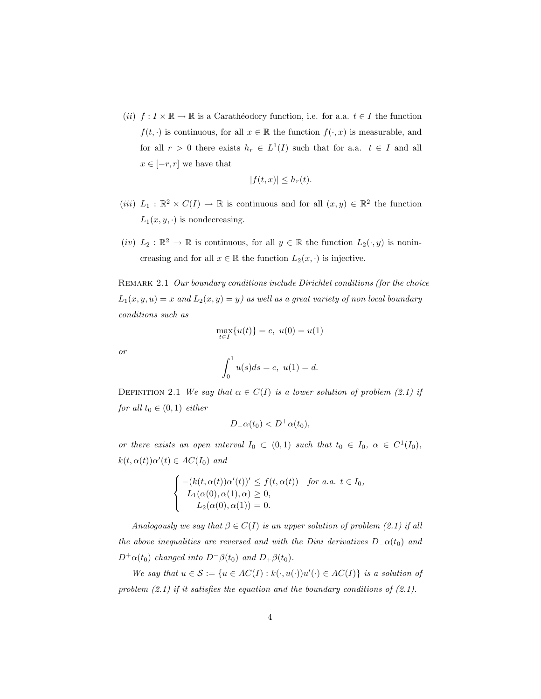(ii)  $f: I \times \mathbb{R} \to \mathbb{R}$  is a Carathéodory function, i.e. for a.a.  $t \in I$  the function  $f(t, \cdot)$  is continuous, for all  $x \in \mathbb{R}$  the function  $f(\cdot, x)$  is measurable, and for all  $r > 0$  there exists  $h_r \in L^1(I)$  such that for a.a.  $t \in I$  and all  $x \in [-r, r]$  we have that

$$
|f(t,x)| \leq h_r(t).
$$

- (*iii*)  $L_1 : \mathbb{R}^2 \times C(I) \to \mathbb{R}$  is continuous and for all  $(x, y) \in \mathbb{R}^2$  the function  $L_1(x, y, \cdot)$  is nondecreasing.
- $(iv) L_2 : \mathbb{R}^2 \to \mathbb{R}$  is continuous, for all  $y \in \mathbb{R}$  the function  $L_2(\cdot, y)$  is nonincreasing and for all  $x \in \mathbb{R}$  the function  $L_2(x, \cdot)$  is injective.

REMARK 2.1 Our boundary conditions include Dirichlet conditions (for the choice  $L_1(x, y, u) = x$  and  $L_2(x, y) = y$  as well as a great variety of non local boundary conditions such as

$$
\max_{t \in I} \{u(t)\} = c, \ u(0) = u(1)
$$

or

$$
\int_0^1 u(s)ds = c, \ u(1) = d.
$$

DEFINITION 2.1 We say that  $\alpha \in C(I)$  is a lower solution of problem (2.1) if for all  $t_0 \in (0,1)$  either

$$
D_{-}\alpha(t_0) < D^+\alpha(t_0),
$$

or there exists an open interval  $I_0 \subset (0,1)$  such that  $t_0 \in I_0$ ,  $\alpha \in C^1(I_0)$ ,  $k(t, \alpha(t))\alpha'(t) \in AC(I_0)$  and

$$
\begin{cases}\n-(k(t,\alpha(t))\alpha'(t))' \le f(t,\alpha(t)) & \text{for a.a. } t \in I_0, \\
L_1(\alpha(0),\alpha(1),\alpha) \ge 0, \\
L_2(\alpha(0),\alpha(1)) = 0.\n\end{cases}
$$

Analogously we say that  $\beta \in C(I)$  is an upper solution of problem (2.1) if all the above inequalities are reversed and with the Dini derivatives  $D_-\alpha(t_0)$  and  $D^+\alpha(t_0)$  changed into  $D^-\beta(t_0)$  and  $D_+\beta(t_0)$ .

We say that  $u \in \mathcal{S} := \{u \in AC(I) : k(\cdot, u(\cdot))u'(\cdot) \in AC(I)\}\$ is a solution of problem  $(2.1)$  if it satisfies the equation and the boundary conditions of  $(2.1)$ .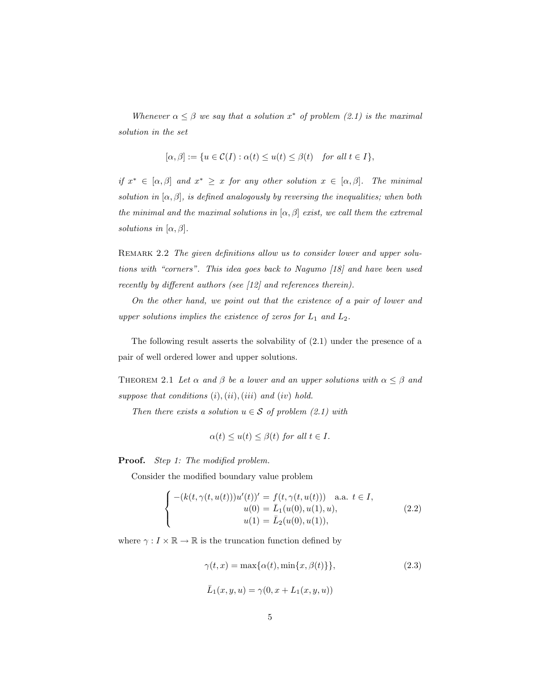Whenever  $\alpha \leq \beta$  we say that a solution  $x^*$  of problem (2.1) is the maximal solution in the set

$$
[\alpha, \beta] := \{ u \in \mathcal{C}(I) : \alpha(t) \le u(t) \le \beta(t) \text{ for all } t \in I \},\
$$

if  $x^* \in [\alpha, \beta]$  and  $x^* \geq x$  for any other solution  $x \in [\alpha, \beta]$ . The minimal solution in  $[\alpha, \beta]$ , is defined analogously by reversing the inequalities; when both the minimal and the maximal solutions in  $[\alpha, \beta]$  exist, we call them the extremal solutions in  $[\alpha, \beta]$ .

REMARK 2.2 The given definitions allow us to consider lower and upper solutions with "corners". This idea goes back to Nagumo [18] and have been used recently by different authors (see [12] and references therein).

On the other hand, we point out that the existence of a pair of lower and upper solutions implies the existence of zeros for  $L_1$  and  $L_2$ .

The following result asserts the solvability of (2.1) under the presence of a pair of well ordered lower and upper solutions.

THEOREM 2.1 Let  $\alpha$  and  $\beta$  be a lower and an upper solutions with  $\alpha \leq \beta$  and suppose that conditions  $(i), (ii), (iii)$  and  $(iv)$  hold.

Then there exists a solution  $u \in \mathcal{S}$  of problem (2.1) with

$$
\alpha(t) \le u(t) \le \beta(t) \text{ for all } t \in I.
$$

Proof. Step 1: The modified problem.

Consider the modified boundary value problem

$$
\begin{cases}\n-(k(t,\gamma(t,u(t)))u'(t))' = f(t,\gamma(t,u(t))) \text{ a.a. } t \in I, \\
u(0) = \bar{L}_1(u(0),u(1),u), \\
u(1) = \bar{L}_2(u(0),u(1)),\n\end{cases}
$$
\n(2.2)

where  $\gamma: I \times \mathbb{R} \to \mathbb{R}$  is the truncation function defined by

$$
\gamma(t, x) = \max{\alpha(t), \min\{x, \beta(t)\}},
$$
\n
$$
\bar{L}_1(x, y, u) = \gamma(0, x + L_1(x, y, u))
$$
\n(2.3)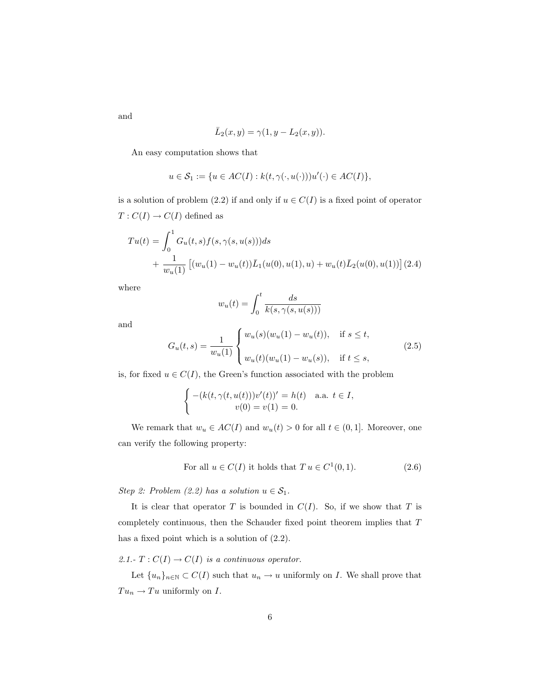and

$$
\overline{L}_2(x,y) = \gamma(1, y - L_2(x,y)).
$$

An easy computation shows that

$$
u \in \mathcal{S}_1 := \{ u \in AC(I) : k(t, \gamma(\cdot, u(\cdot)))u'(\cdot) \in AC(I) \},
$$

is a solution of problem (2.2) if and only if  $u \in C(I)$  is a fixed point of operator  $T:C(I)\rightarrow C(I)$  defined as

$$
Tu(t) = \int_0^1 G_u(t, s) f(s, \gamma(s, u(s))) ds
$$
  
+ 
$$
\frac{1}{w_u(1)} \left[ (w_u(1) - w_u(t)) \overline{L}_1(u(0), u(1), u) + w_u(t) \overline{L}_2(u(0), u(1)) \right](2.4)
$$

where

$$
w_u(t) = \int_0^t \frac{ds}{k(s, \gamma(s, u(s)))}
$$

and

$$
G_u(t,s) = \frac{1}{w_u(1)} \begin{cases} w_u(s)(w_u(1) - w_u(t)), & \text{if } s \le t, \\ w_u(t)(w_u(1) - w_u(s)), & \text{if } t \le s, \end{cases}
$$
(2.5)

is, for fixed  $u \in C(I)$ , the Green's function associated with the problem

$$
\begin{cases}\n-(k(t,\gamma(t,u(t)))v'(t))' = h(t) & \text{a.a. } t \in I, \\
v(0) = v(1) = 0.\n\end{cases}
$$

We remark that  $w_u \in AC(I)$  and  $w_u(t) > 0$  for all  $t \in (0, 1]$ . Moreover, one can verify the following property:

For all 
$$
u \in C(I)
$$
 it holds that  $T u \in C^1(0, 1)$ . (2.6)

Step 2: Problem (2.2) has a solution  $u \in \mathcal{S}_1$ .

It is clear that operator  $T$  is bounded in  $C(I)$ . So, if we show that  $T$  is completely continuous, then the Schauder fixed point theorem implies that T has a fixed point which is a solution of (2.2).

2.1.-  $T: C(I) \to C(I)$  is a continuous operator.

Let  ${u_n}_{n\in\mathbb{N}} \subset C(I)$  such that  $u_n \to u$  uniformly on I. We shall prove that  $Tu_n\rightarrow Tu$  uniformly on  $I.$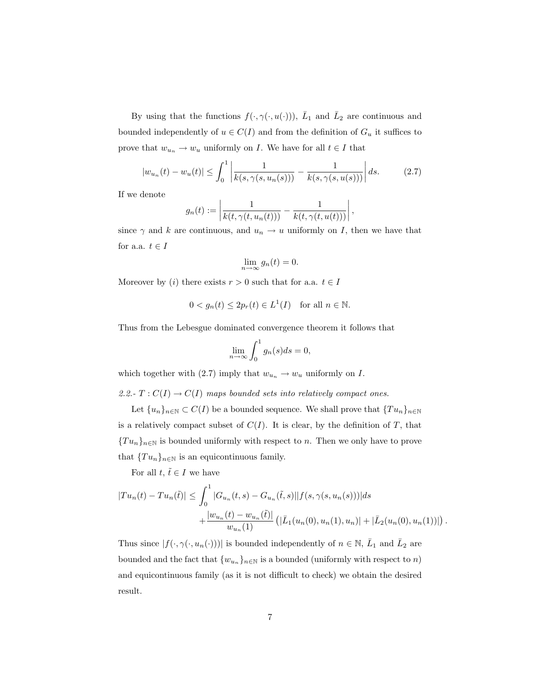By using that the functions  $f(\cdot, \gamma(\cdot, u(\cdot)))$ ,  $\overline{L}_1$  and  $\overline{L}_2$  are continuous and bounded independently of  $u \in C(I)$  and from the definition of  $G_u$  it suffices to prove that  $w_{u_n} \to w_u$  uniformly on I. We have for all  $t \in I$  that

$$
|w_{u_n}(t) - w_u(t)| \le \int_0^1 \left| \frac{1}{k(s, \gamma(s, u_n(s)))} - \frac{1}{k(s, \gamma(s, u(s)))} \right| ds. \tag{2.7}
$$

If we denote

$$
g_n(t) := \left| \frac{1}{k(t, \gamma(t, u_n(t)))} - \frac{1}{k(t, \gamma(t, u(t)))} \right|,
$$

since  $\gamma$  and k are continuous, and  $u_n \to u$  uniformly on I, then we have that for a.a.  $t \in I$ 

$$
\lim_{n \to \infty} g_n(t) = 0.
$$

Moreover by (i) there exists  $r > 0$  such that for a.a.  $t \in I$ 

$$
0 < g_n(t) \le 2p_r(t) \in L^1(I) \quad \text{for all } n \in \mathbb{N}.
$$

Thus from the Lebesgue dominated convergence theorem it follows that

$$
\lim_{n \to \infty} \int_0^1 g_n(s) ds = 0,
$$

which together with (2.7) imply that  $w_{u_n} \to w_u$  uniformly on I.

2.2.-  $T: C(I) \to C(I)$  maps bounded sets into relatively compact ones.

Let  ${u_n}_{n\in\mathbb{N}} \subset C(I)$  be a bounded sequence. We shall prove that  ${Tu_n}_{n\in\mathbb{N}}$ is a relatively compact subset of  $C(I)$ . It is clear, by the definition of T, that  ${T u_n}_{n \in \mathbb{N}}$  is bounded uniformly with respect to n. Then we only have to prove that  $\{Tu_n\}_{n\in\mathbb{N}}$  is an equicontinuous family.

For all  $t, \tilde{t} \in I$  we have

$$
|Tu_n(t) - Tu_n(\tilde{t})| \leq \int_0^1 |G_{u_n}(t,s) - G_{u_n}(\tilde{t},s)||f(s, \gamma(s, u_n(s)))|ds
$$
  
+ 
$$
\frac{|w_{u_n}(t) - w_{u_n}(\tilde{t})|}{w_{u_n}(1)} (|\bar{L}_1(u_n(0), u_n(1), u_n)| + |\bar{L}_2(u_n(0), u_n(1))|).
$$

Thus since  $|f(\cdot,\gamma(\cdot,u_n(\cdot)))|$  is bounded independently of  $n \in \mathbb{N}$ ,  $\overline{L}_1$  and  $\overline{L}_2$  are bounded and the fact that  ${w_{u_n}}_{n \in \mathbb{N}}$  is a bounded (uniformly with respect to n) and equicontinuous family (as it is not difficult to check) we obtain the desired result.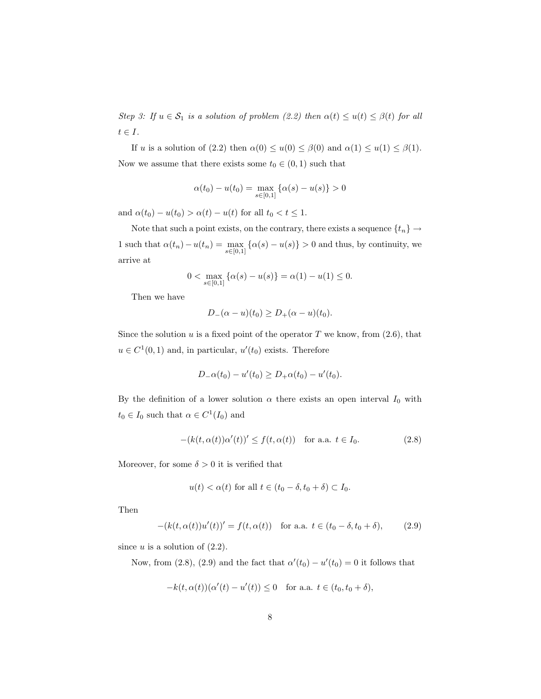Step 3: If  $u \in S_1$  is a solution of problem (2.2) then  $\alpha(t) \le u(t) \le \beta(t)$  for all  $t\in I.$ 

If u is a solution of (2.2) then  $\alpha(0) \le u(0) \le \beta(0)$  and  $\alpha(1) \le u(1) \le \beta(1)$ . Now we assume that there exists some  $t_0 \in (0, 1)$  such that

$$
\alpha(t_0) - u(t_0) = \max_{s \in [0,1]} {\alpha(s) - u(s)} > 0
$$

and  $\alpha(t_0) - u(t_0) > \alpha(t) - u(t)$  for all  $t_0 < t \leq 1$ .

Note that such a point exists, on the contrary, there exists a sequence  $\{t_n\} \to$ 1 such that  $\alpha(t_n) - u(t_n) = \max_{s \in [0,1]} {\alpha(s) - u(s)} > 0$  and thus, by continuity, we arrive at

$$
0 < \max_{s \in [0,1]} \{ \alpha(s) - u(s) \} = \alpha(1) - u(1) \le 0.
$$

Then we have

$$
D_{-}(\alpha - u)(t_0) \ge D_{+}(\alpha - u)(t_0).
$$

Since the solution  $u$  is a fixed point of the operator  $T$  we know, from  $(2.6)$ , that  $u \in C^1(0,1)$  and, in particular,  $u'(t_0)$  exists. Therefore

$$
D_{-}\alpha(t_0) - u'(t_0) \ge D_{+}\alpha(t_0) - u'(t_0).
$$

By the definition of a lower solution  $\alpha$  there exists an open interval  $I_0$  with  $t_0 \in I_0$  such that  $\alpha \in C^1(I_0)$  and

$$
-(k(t, \alpha(t))\alpha'(t))' \le f(t, \alpha(t)) \quad \text{for a.a. } t \in I_0.
$$
 (2.8)

Moreover, for some  $\delta > 0$  it is verified that

$$
u(t) < \alpha(t)
$$
 for all  $t \in (t_0 - \delta, t_0 + \delta) \subset I_0$ .

Then

$$
-(k(t, \alpha(t))u'(t))' = f(t, \alpha(t)) \text{ for a.a. } t \in (t_0 - \delta, t_0 + \delta),
$$
 (2.9)

since  $u$  is a solution of  $(2.2)$ .

Now, from (2.8), (2.9) and the fact that  $\alpha'(t_0) - u'(t_0) = 0$  it follows that

$$
-k(t, \alpha(t))(\alpha'(t) - u'(t)) \le 0 \quad \text{for a.a. } t \in (t_0, t_0 + \delta),
$$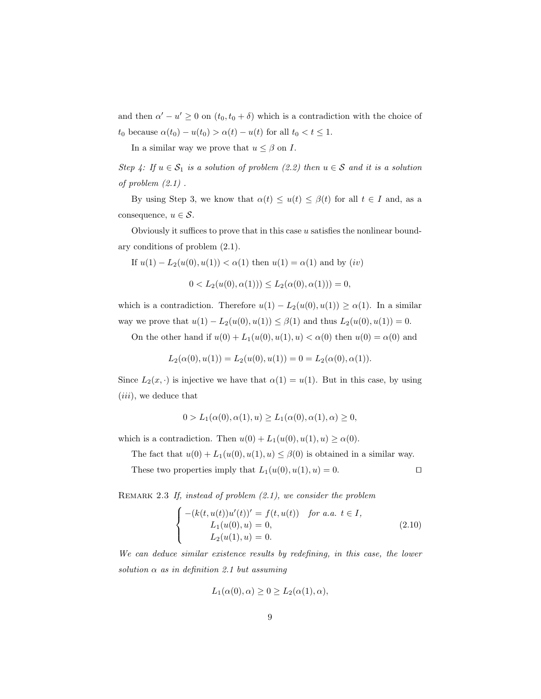and then  $\alpha' - u' \geq 0$  on  $(t_0, t_0 + \delta)$  which is a contradiction with the choice of  $t_0$  because  $\alpha(t_0) - u(t_0) > \alpha(t) - u(t)$  for all  $t_0 < t \leq 1$ .

In a similar way we prove that  $u \leq \beta$  on I.

Step 4: If  $u \in S_1$  is a solution of problem (2.2) then  $u \in S$  and it is a solution of problem  $(2.1)$ .

By using Step 3, we know that  $\alpha(t) \leq u(t) \leq \beta(t)$  for all  $t \in I$  and, as a consequence,  $u \in \mathcal{S}$ .

Obviously it suffices to prove that in this case  $u$  satisfies the nonlinear boundary conditions of problem (2.1).

If 
$$
u(1) - L_2(u(0), u(1)) < \alpha(1)
$$
 then  $u(1) = \alpha(1)$  and by  $(iv)$ 

$$
0 < L_2(u(0), \alpha(1))) \le L_2(\alpha(0), \alpha(1))) = 0,
$$

which is a contradiction. Therefore  $u(1) - L_2(u(0), u(1)) \ge \alpha(1)$ . In a similar way we prove that  $u(1) - L_2(u(0), u(1)) \leq \beta(1)$  and thus  $L_2(u(0), u(1)) = 0$ .

On the other hand if  $u(0) + L_1(u(0), u(1), u) < \alpha(0)$  then  $u(0) = \alpha(0)$  and

$$
L_2(\alpha(0), u(1)) = L_2(u(0), u(1)) = 0 = L_2(\alpha(0), \alpha(1)).
$$

Since  $L_2(x, \cdot)$  is injective we have that  $\alpha(1) = u(1)$ . But in this case, by using (iii), we deduce that

$$
0 > L_1(\alpha(0), \alpha(1), u) \ge L_1(\alpha(0), \alpha(1), \alpha) \ge 0,
$$

which is a contradiction. Then  $u(0) + L_1(u(0), u(1), u) \ge \alpha(0)$ .

The fact that  $u(0) + L_1(u(0), u(1), u) \leq \beta(0)$  is obtained in a similar way.

These two properties imply that  $L_1(u(0), u(1), u) = 0$ .

REMARK 2.3 If, instead of problem  $(2.1)$ , we consider the problem

$$
\begin{cases}\n-(k(t, u(t))u'(t))' = f(t, u(t)) & \text{for a.a. } t \in I, \\
L_1(u(0), u) = 0, \\
L_2(u(1), u) = 0.\n\end{cases}
$$
\n(2.10)

We can deduce similar existence results by redefining, in this case, the lower  $solution \alpha as in \ definition \ 2.1 \ but \ assuming$ 

$$
L_1(\alpha(0), \alpha) \ge 0 \ge L_2(\alpha(1), \alpha),
$$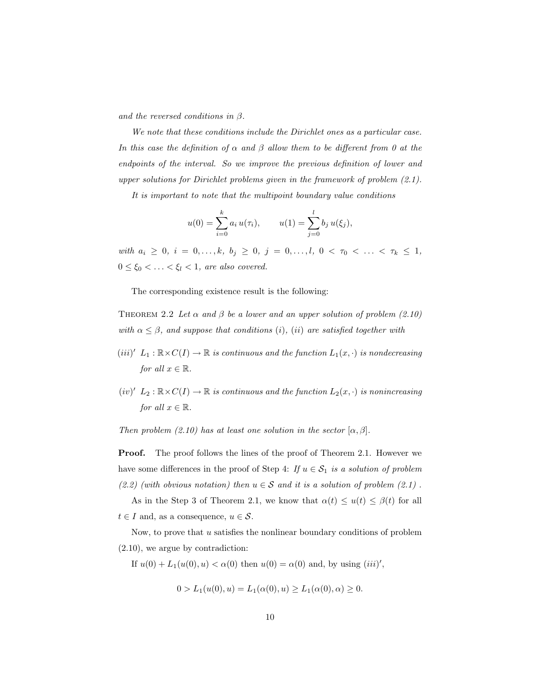and the reversed conditions in  $\beta$ .

We note that these conditions include the Dirichlet ones as a particular case. In this case the definition of  $\alpha$  and  $\beta$  allow them to be different from 0 at the endpoints of the interval. So we improve the previous definition of lower and upper solutions for Dirichlet problems given in the framework of problem (2.1).

It is important to note that the multipoint boundary value conditions

$$
u(0) = \sum_{i=0}^{k} a_i u(\tau_i), \qquad u(1) = \sum_{j=0}^{l} b_j u(\xi_j),
$$

with  $a_i \geq 0$ ,  $i = 0, \ldots, k$ ,  $b_j \geq 0$ ,  $j = 0, \ldots, l$ ,  $0 < \tau_0 < \ldots < \tau_k \leq 1$ ,  $0 \leq \xi_0 < \ldots < \xi_l < 1$ , are also covered.

The corresponding existence result is the following:

THEOREM 2.2 Let  $\alpha$  and  $\beta$  be a lower and an upper solution of problem (2.10) with  $\alpha \leq \beta$ , and suppose that conditions (i), (ii) are satisfied together with

- $(iii)'$   $L_1 : \mathbb{R} \times C(I) \to \mathbb{R}$  is continuous and the function  $L_1(x, \cdot)$  is nondecreasing for all  $x \in \mathbb{R}$ .
- $(iv)'$   $L_2 : \mathbb{R} \times C(I) \to \mathbb{R}$  is continuous and the function  $L_2(x, \cdot)$  is nonincreasing for all  $x \in \mathbb{R}$ .

Then problem (2.10) has at least one solution in the sector  $[\alpha, \beta]$ .

**Proof.** The proof follows the lines of the proof of Theorem 2.1. However we have some differences in the proof of Step 4: If  $u \in S_1$  is a solution of problem (2.2) (with obvious notation) then  $u \in \mathcal{S}$  and it is a solution of problem (2.1).

As in the Step 3 of Theorem 2.1, we know that  $\alpha(t) \leq u(t) \leq \beta(t)$  for all  $t \in I$  and, as a consequence,  $u \in S$ .

Now, to prove that  $u$  satisfies the nonlinear boundary conditions of problem (2.10), we argue by contradiction:

If  $u(0) + L_1(u(0), u) < \alpha(0)$  then  $u(0) = \alpha(0)$  and, by using  $(iii)'$ ,

$$
0 > L_1(u(0), u) = L_1(\alpha(0), u) \ge L_1(\alpha(0), \alpha) \ge 0.
$$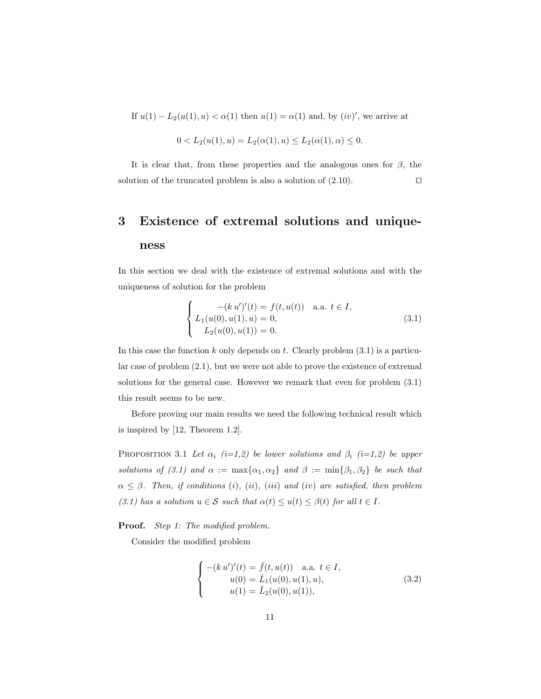If  $u(1) - L_2(u(1), u) < \alpha(1)$  then  $u(1) = \alpha(1)$  and, by  $(iv)'$ , we arrive at

$$
0 < L_2(u(1), u) = L_2(\alpha(1), u) \le L_2(\alpha(1), \alpha) \le 0.
$$

It is clear that, from these properties and the analogous ones for  $\beta$ , the solution of the truncated problem is also a solution of  $(2.10)$ .

# 3 Existence of extremal solutions and uniqueness

In this section we deal with the existence of extremal solutions and with the uniqueness of solution for the problem

$$
\begin{cases}\n-(k u')'(t) = f(t, u(t)) & \text{a.a. } t \in I, \\
L_1(u(0), u(1), u) = 0, \\
L_2(u(0), u(1)) = 0.\n\end{cases}
$$
\n(3.1)

In this case the function  $k$  only depends on  $t$ . Clearly problem  $(3.1)$  is a particular case of problem (2.1), but we were not able to prove the existence of extremal solutions for the general case. However we remark that even for problem (3.1) this result seems to be new.

Before proving our main results we need the following technical result which is inspired by [12, Theorem 1.2].

PROPOSITION 3.1 Let  $\alpha_i$  (i=1,2) be lower solutions and  $\beta_i$  (i=1,2) be upper solutions of (3.1) and  $\alpha := \max{\alpha_1, \alpha_2}$  and  $\beta := \min{\beta_1, \beta_2}$  be such that  $\alpha \leq \beta$ . Then, if conditions (i), (ii), (iii) and (iv) are satisfied, then problem (3.1) has a solution  $u \in \mathcal{S}$  such that  $\alpha(t) \le u(t) \le \beta(t)$  for all  $t \in I$ .

**Proof.** Step 1: The modified problem.

Consider the modified problem

$$
\begin{cases}\n-(k u')'(t) = \bar{f}(t, u(t)) & \text{a.a. } t \in I, \\
u(0) = \bar{L}_1(u(0), u(1), u), \\
u(1) = \bar{L}_2(u(0), u(1)),\n\end{cases}
$$
\n(3.2)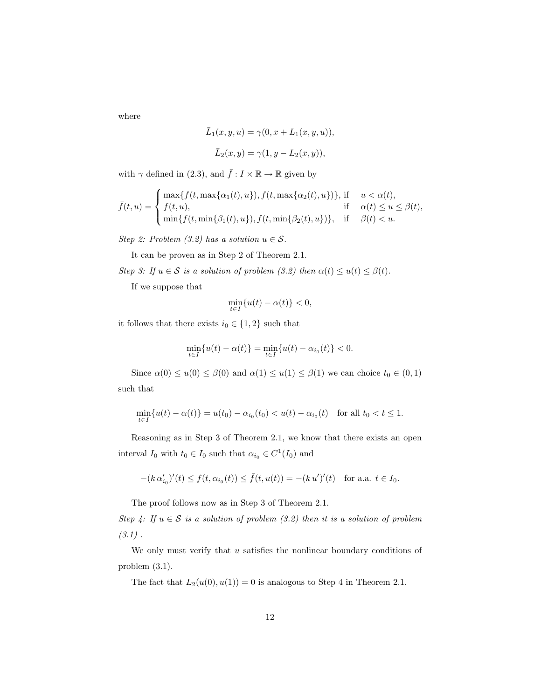where

$$
\bar{L}_1(x, y, u) = \gamma(0, x + L_1(x, y, u)),
$$
  

$$
\bar{L}_2(x, y) = \gamma(1, y - L_2(x, y)),
$$

with  $\gamma$  defined in (2.3), and  $\bar{f}: I \times \mathbb{R} \to \mathbb{R}$  given by

 $\overline{\phantom{a}}$ 

$$
\bar{f}(t,u) = \begin{cases} \max\{f(t,\max\{\alpha_1(t),u\}),f(t,\max\{\alpha_2(t),u\})\}, \ \text{if } \quad u < \alpha(t), \\ f(t,u), \quad \quad \text{if } \quad \alpha(t) \le u \le \beta(t), \\ \min\{f(t,\min\{\beta_1(t),u\}),f(t,\min\{\beta_2(t),u\})\}, \quad \text{if } \quad \beta(t) < u. \end{cases}
$$

Step 2: Problem  $(3.2)$  has a solution  $u \in \mathcal{S}$ .

It can be proven as in Step 2 of Theorem 2.1.

Step 3: If  $u \in S$  is a solution of problem (3.2) then  $\alpha(t) \le u(t) \le \beta(t)$ .

If we suppose that

$$
\min_{t \in I} \{ u(t) - \alpha(t) \} < 0,
$$

it follows that there exists  $i_0 \in \{1,2\}$  such that

$$
\min_{t \in I} \{ u(t) - \alpha(t) \} = \min_{t \in I} \{ u(t) - \alpha_{i_0}(t) \} < 0.
$$

Since  $\alpha(0) \le u(0) \le \beta(0)$  and  $\alpha(1) \le u(1) \le \beta(1)$  we can choice  $t_0 \in (0,1)$ such that

$$
\min_{t \in I} \{ u(t) - \alpha(t) \} = u(t_0) - \alpha_{i_0}(t_0) < u(t) - \alpha_{i_0}(t) \quad \text{for all } t_0 < t \le 1.
$$

Reasoning as in Step 3 of Theorem 2.1, we know that there exists an open interval  $I_0$  with  $t_0 \in I_0$  such that  $\alpha_{i_0} \in C^1(I_0)$  and

$$
-(k\,\alpha'_{i_0})'(t) \le f(t,\alpha_{i_0}(t)) \le \bar{f}(t,u(t)) = -(k\,u')'(t) \quad \text{for a.a. } t \in I_0.
$$

The proof follows now as in Step 3 of Theorem 2.1.

Step 4: If  $u \in S$  is a solution of problem (3.2) then it is a solution of problem  $(3.1)$ .

We only must verify that  $u$  satisfies the nonlinear boundary conditions of problem (3.1).

The fact that  $L_2(u(0), u(1)) = 0$  is analogous to Step 4 in Theorem 2.1.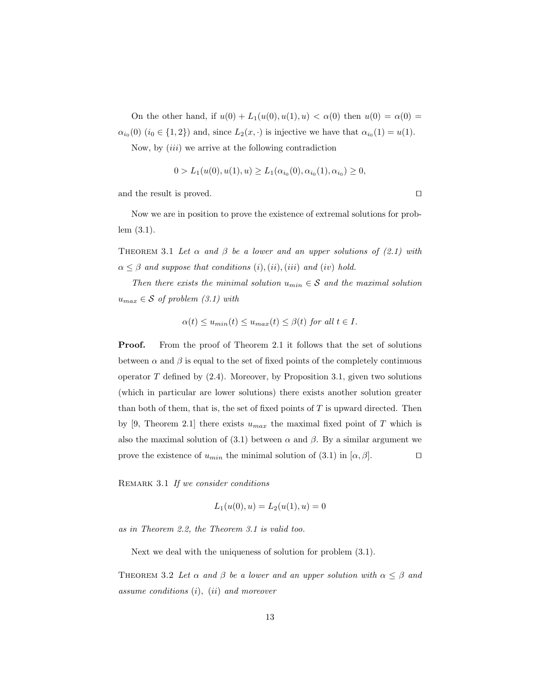On the other hand, if  $u(0) + L_1(u(0), u(1), u) < \alpha(0)$  then  $u(0) = \alpha(0)$  $\alpha_{i_0}(0)$   $(i_0 \in \{1,2\})$  and, since  $L_2(x, \cdot)$  is injective we have that  $\alpha_{i_0}(1) = u(1)$ .

Now, by  $(iii)$  we arrive at the following contradiction

$$
0 > L_1(u(0), u(1), u) \ge L_1(\alpha_{i_0}(0), \alpha_{i_0}(1), \alpha_{i_0}) \ge 0,
$$

and the result is proved.  $\Box$ 

Now we are in position to prove the existence of extremal solutions for problem (3.1).

THEOREM 3.1 Let  $\alpha$  and  $\beta$  be a lower and an upper solutions of (2.1) with  $\alpha \leq \beta$  and suppose that conditions  $(i), (ii), (iii)$  and  $(iv)$  hold.

Then there exists the minimal solution  $u_{min} \in S$  and the maximal solution  $u_{max} \in \mathcal{S}$  of problem (3.1) with

$$
\alpha(t) \le u_{min}(t) \le u_{max}(t) \le \beta(t) \text{ for all } t \in I.
$$

Proof. From the proof of Theorem 2.1 it follows that the set of solutions between  $\alpha$  and  $\beta$  is equal to the set of fixed points of the completely continuous operator  $T$  defined by  $(2.4)$ . Moreover, by Proposition 3.1, given two solutions (which in particular are lower solutions) there exists another solution greater than both of them, that is, the set of fixed points of  $T$  is upward directed. Then by [9, Theorem 2.1] there exists  $u_{max}$  the maximal fixed point of T which is also the maximal solution of (3.1) between  $\alpha$  and  $\beta$ . By a similar argument we prove the existence of  $u_{min}$  the minimal solution of (3.1) in  $[\alpha, \beta]$ .

REMARK 3.1 If we consider conditions

$$
L_1(u(0),u) = L_2(u(1),u) = 0
$$

as in Theorem 2.2, the Theorem 3.1 is valid too.

Next we deal with the uniqueness of solution for problem (3.1).

THEOREM 3.2 Let  $\alpha$  and  $\beta$  be a lower and an upper solution with  $\alpha \leq \beta$  and assume conditions (i), (ii) and moreover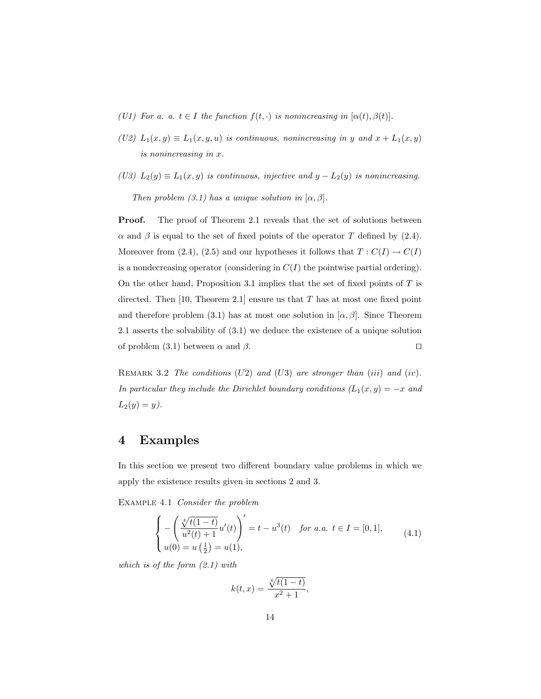- (U1) For a. a.  $t \in I$  the function  $f(t, \cdot)$  is nonincreasing in  $[\alpha(t), \beta(t)].$
- (U2)  $L_1(x, y) \equiv L_1(x, y, u)$  is continuous, nonincreasing in y and  $x + L_1(x, y)$ is nonincreasing in x.
- (U3)  $L_2(y) \equiv L_1(x, y)$  is continuous, injective and  $y L_2(y)$  is nonincreasing. Then problem (3.1) has a unique solution in  $[\alpha, \beta]$ .

**Proof.** The proof of Theorem 2.1 reveals that the set of solutions between  $\alpha$  and  $\beta$  is equal to the set of fixed points of the operator T defined by (2.4). Moreover from (2.4), (2.5) and our hypotheses it follows that  $T: C(I) \to C(I)$ is a nondecreasing operator (considering in  $C(I)$ ) the pointwise partial ordering). On the other hand, Proposition 3.1 implies that the set of fixed points of  $T$  is directed. Then  $[10,$  Theorem 2.1] ensure us that T has at most one fixed point and therefore problem (3.1) has at most one solution in  $[\alpha, \beta]$ . Since Theorem 2.1 asserts the solvability of (3.1) we deduce the existence of a unique solution of problem (3.1) between  $\alpha$  and  $\beta$ .

REMARK 3.2 The conditions  $(U2)$  and  $(U3)$  are stronger than  $(iii)$  and  $(iv)$ . In particular they include the Dirichlet boundary conditions  $(L_1(x,y) = -x$  and  $L_2(y) = y$ .

## 4 Examples

In this section we present two different boundary value problems in which we apply the existence results given in sections 2 and 3.

EXAMPLE 4.1 *Consider the problem* 

$$
\begin{cases}\n-\left(\frac{\sqrt[4]{t(1-t)}}{u^2(t)+1}u'(t)\right)' = t - u^3(t) & \text{for a.a. } t \in I = [0,1], \\
u(0) = u\left(\frac{1}{2}\right) = u(1), & \text{(4.1)}\n\end{cases}
$$

which is of the form (2.1) with

$$
k(t,x) = \frac{\sqrt[4]{t(1-t)}}{x^2+1},
$$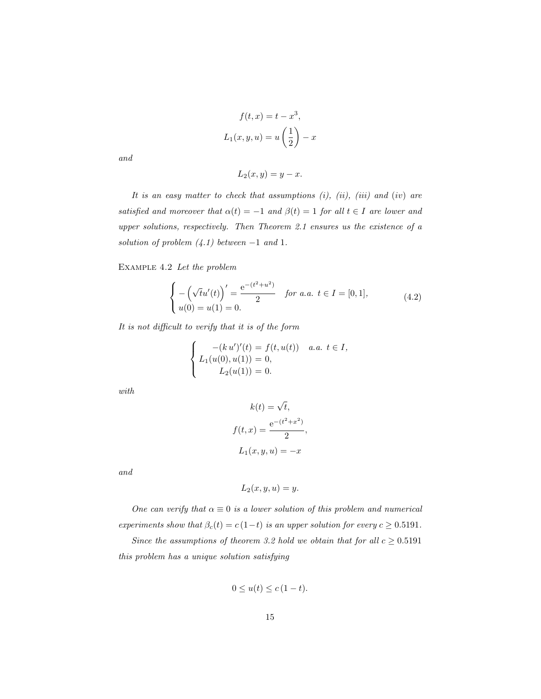$$
f(t, x) = t - x3,
$$
  

$$
L_1(x, y, u) = u\left(\frac{1}{2}\right) - x
$$

and

$$
L_2(x, y) = y - x.
$$

It is an easy matter to check that assumptions  $(i)$ ,  $(ii)$ ,  $(iii)$  and  $(iv)$  are satisfied and moreover that  $\alpha(t) = -1$  and  $\beta(t) = 1$  for all  $t \in I$  are lower and upper solutions, respectively. Then Theorem 2.1 ensures us the existence of a solution of problem  $(4.1)$  between  $-1$  and 1.

Example 4.2 Let the problem

$$
\begin{cases}\n-\left(\sqrt{t}u'(t)\right)' = \frac{e^{-(t^2 + u^2)}}{2} & \text{for a.a. } t \in I = [0, 1], \\
u(0) = u(1) = 0.\n\end{cases}
$$
\n(4.2)

It is not difficult to verify that it is of the form

$$
\begin{cases}\n-(k u')'(t) = f(t, u(t)) & a.a. \ t \in I, \\
L_1(u(0), u(1)) = 0, \\
L_2(u(1)) = 0.\n\end{cases}
$$

with

$$
k(t) = \sqrt{t},
$$
  
\n
$$
f(t, x) = \frac{e^{-(t^2 + x^2)}}{2},
$$
  
\n
$$
L_1(x, y, u) = -x
$$

and

$$
L_2(x, y, u) = y.
$$

One can verify that  $\alpha \equiv 0$  is a lower solution of this problem and numerical experiments show that  $\beta_c(t) = c(1-t)$  is an upper solution for every  $c \geq 0.5191$ .

Since the assumptions of theorem 3.2 hold we obtain that for all  $c \geq 0.5191$ this problem has a unique solution satisfying

$$
0 \le u(t) \le c(1-t).
$$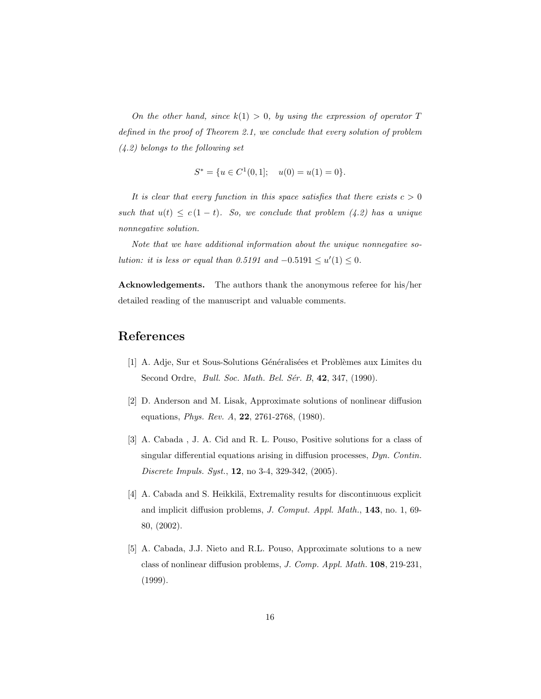On the other hand, since  $k(1) > 0$ , by using the expression of operator T defined in the proof of Theorem 2.1, we conclude that every solution of problem (4.2) belongs to the following set

$$
S^* = \{ u \in C^1(0, 1]; \quad u(0) = u(1) = 0 \}.
$$

It is clear that every function in this space satisfies that there exists  $c > 0$ such that  $u(t) \leq c(1-t)$ . So, we conclude that problem (4.2) has a unique nonnegative solution.

Note that we have additional information about the unique nonnegative solution: it is less or equal than 0.5191 and  $-0.5191 \le u'(1) \le 0$ .

Acknowledgements. The authors thank the anonymous referee for his/her detailed reading of the manuscript and valuable comments.

# References

- [1] A. Adje, Sur et Sous-Solutions Généralisées et Problèmes aux Limites du Second Ordre, *Bull. Soc. Math. Bel. Sér. B*, 42, 347, (1990).
- [2] D. Anderson and M. Lisak, Approximate solutions of nonlinear diffusion equations, Phys. Rev. A, 22, 2761-2768, (1980).
- [3] A. Cabada , J. A. Cid and R. L. Pouso, Positive solutions for a class of singular differential equations arising in diffusion processes, Dyn. Contin. Discrete Impuls. Syst., 12, no 3-4, 329-342, (2005).
- [4] A. Cabada and S. Heikkilä, Extremality results for discontinuous explicit and implicit diffusion problems, J. Comput. Appl. Math., 143, no. 1, 69- 80, (2002).
- [5] A. Cabada, J.J. Nieto and R.L. Pouso, Approximate solutions to a new class of nonlinear diffusion problems, J. Comp. Appl. Math. 108, 219-231, (1999).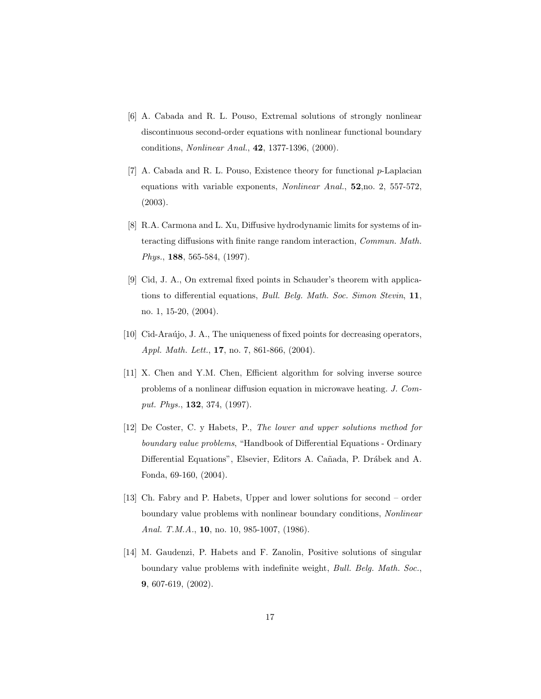- [6] A. Cabada and R. L. Pouso, Extremal solutions of strongly nonlinear discontinuous second-order equations with nonlinear functional boundary conditions, Nonlinear Anal., 42, 1377-1396, (2000).
- [7] A. Cabada and R. L. Pouso, Existence theory for functional p-Laplacian equations with variable exponents, Nonlinear Anal., 52,no. 2, 557-572, (2003).
- [8] R.A. Carmona and L. Xu, Diffusive hydrodynamic limits for systems of interacting diffusions with finite range random interaction, Commun. Math. Phys., 188, 565-584, (1997).
- [9] Cid, J. A., On extremal fixed points in Schauder's theorem with applications to differential equations, Bull. Belg. Math. Soc. Simon Stevin, 11, no. 1, 15-20, (2004).
- [10] Cid-Araújo, J. A., The uniqueness of fixed points for decreasing operators, Appl. Math. Lett., **17**, no. 7, 861-866, (2004).
- [11] X. Chen and Y.M. Chen, Efficient algorithm for solving inverse source problems of a nonlinear diffusion equation in microwave heating. J. Comput. Phys., 132, 374, (1997).
- [12] De Coster, C. y Habets, P., The lower and upper solutions method for boundary value problems, "Handbook of Differential Equations - Ordinary Differential Equations", Elsevier, Editors A. Cañada, P. Drábek and A. Fonda, 69-160, (2004).
- [13] Ch. Fabry and P. Habets, Upper and lower solutions for second order boundary value problems with nonlinear boundary conditions, Nonlinear Anal. T.M.A., 10, no. 10, 985-1007, (1986).
- [14] M. Gaudenzi, P. Habets and F. Zanolin, Positive solutions of singular boundary value problems with indefinite weight, Bull. Belg. Math. Soc., 9, 607-619, (2002).